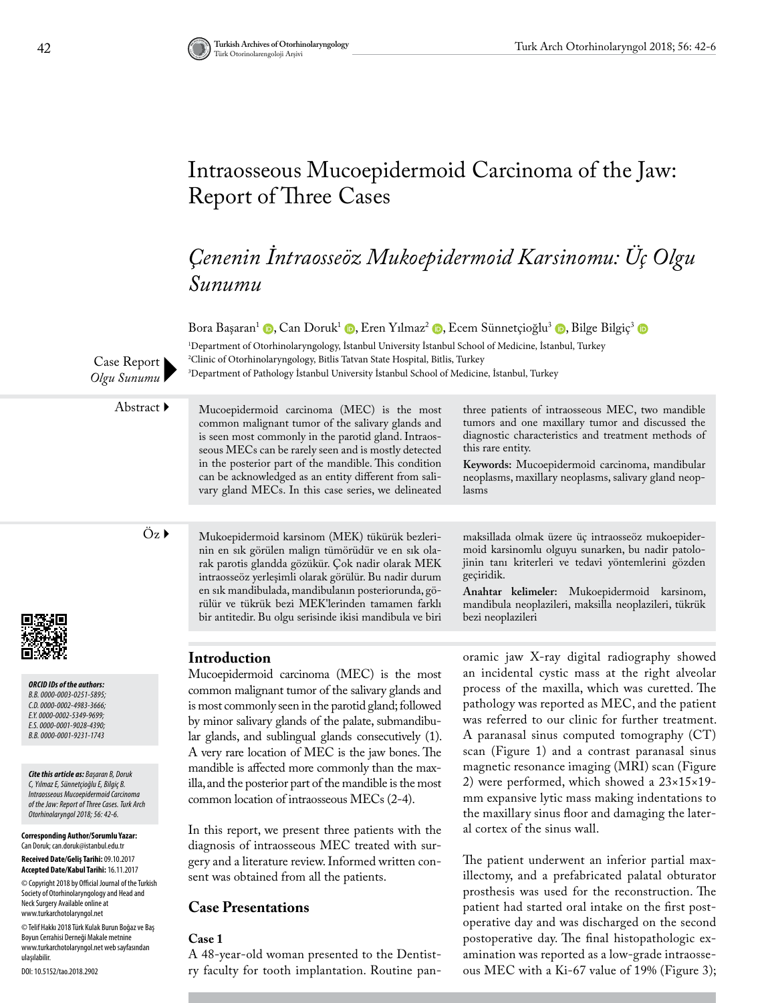# Intraosseous Mucoepidermoid Carcinoma of the Jaw: Report of Three Cases

# *Çenenin İntraosseöz Mukoepidermoid Karsinomu: Üç Olgu Sunumu*

geçiridik.

Bora Başaran<sup>1</sup> (D[,](https://orcid.org/0000-0001-9028-4390) Can Doruk<sup>1</sup> (D, Eren Yılmaz<sup>2</sup> (D, Ecem Sünnetçioğlu<sup>3</sup> (D, Bilge Bilgiç<sup>3</sup> (D

1 Department of Otorhinolaryngology, İstanbul University İstanbul School of Medicine, İstanbul, Turkey 2 Clinic of Otorhinolaryngology, Bitlis Tatvan State Hospital, Bitlis, Turkey

3 Department of Pathology İstanbul University İstanbul School of Medicine, İstanbul, Turkey

Case Report *Olgu Sunumu*

> Abstract Mucoepidermoid carcinoma (MEC) is the most common malignant tumor of the salivary glands and is seen most commonly in the parotid gland. Intraosseous MECs can be rarely seen and is mostly detected in the posterior part of the mandible. This condition can be acknowledged as an entity different from salivary gland MECs. In this case series, we delineated

> > nin en sık görülen malign tümörüdür ve en sık olarak parotis glandda gözükür. Çok nadir olarak MEK intraosseöz yerleşimli olarak görülür. Bu nadir durum en sık mandibulada, mandibulanın posteriorunda, görülür ve tükrük bezi MEK'lerinden tamamen farklı bir antitedir. Bu olgu serisinde ikisi mandibula ve biri

three patients of intraosseous MEC, two mandible tumors and one maxillary tumor and discussed the diagnostic characteristics and treatment methods of this rare entity.

**Keywords:** Mucoepidermoid carcinoma, mandibular neoplasms, maxillary neoplasms, salivary gland neoplasms

maksillada olmak üzere üç intraosseöz mukoepidermoid karsinomlu olguyu sunarken, bu nadir patolojinin tanı kriterleri ve tedavi yöntemlerini gözden

**Anahtar kelimeler:** Mukoepidermoid karsinom, mandibula neoplazileri, maksilla neoplazileri, tükrük

Öz Mukoepidermoid karsinom (MEK) tükürük bezleri-



*ORCID IDs of the authors: B.B. 0000-0003-0251-5895; C.D. 0000-0002-4983-3666; E.Y. 0000-0002-5349-9699; E.S. 0000-0001-9028-4390; B.B. 0000-0001-9231-1743*

*Cite this article as: Başaran B, Doruk C, Yılmaz E, Sünnetçioğlu E, Bilgiç B. Intraosseous Mucoepidermoid Carcinoma of the Jaw: Report of Three Cases. Turk Arch Otorhinolaryngol 2018; 56: 42-6.*

**Corresponding Author/Sorumlu Yazar:**  Can Doruk; can.doruk@istanbul.edu.tr

**Received Date/Geliş Tarihi:** 09.10.2017 **Accepted Date/Kabul Tarihi:** 16.11.2017

© Copyright 2018 by Official Journal of the Turkish Society of Otorhinolaryngology and Head and Neck Surgery Available online at www.turkarchotolaryngol.net

© Telif Hakkı 2018 Türk Kulak Burun Boğaz ve Baş Boyun Cerrahisi Derneği Makale metnine www.turkarchotolaryngol.net web sayfasından ulaşılabilir.

DOI: 10.5152/tao.2018.2902

# **Introduction**

Mucoepidermoid carcinoma (MEC) is the most common malignant tumor of the salivary glands and is most commonly seen in the parotid gland; followed by minor salivary glands of the palate, submandibular glands, and sublingual glands consecutively (1). A very rare location of MEC is the jaw bones. The mandible is affected more commonly than the maxilla, and the posterior part of the mandible is the most common location of intraosseous MECs (2-4).

In this report, we present three patients with the diagnosis of intraosseous MEC treated with surgery and a literature review. Informed written consent was obtained from all the patients.

## **Case Presentations**

## **Case 1**

A 48-year-old woman presented to the Dentistry faculty for tooth implantation. Routine panbezi neoplazileri oramic jaw X-ray digital radiography showed an incidental cystic mass at the right alveolar process of the maxilla, which was curetted. The pathology was reported as MEC, and the patient was referred to our clinic for further treatment. A paranasal sinus computed tomography (CT) scan (Figure 1) and a contrast paranasal sinus magnetic resonance imaging (MRI) scan (Figure 2) were performed, which showed a 23×15×19 mm expansive lytic mass making indentations to the maxillary sinus floor and damaging the later-

The patient underwent an inferior partial maxillectomy, and a prefabricated palatal obturator prosthesis was used for the reconstruction. The patient had started oral intake on the first postoperative day and was discharged on the second postoperative day. The final histopathologic examination was reported as a low-grade intraosseous MEC with a Ki-67 value of 19% (Figure 3);

al cortex of the sinus wall.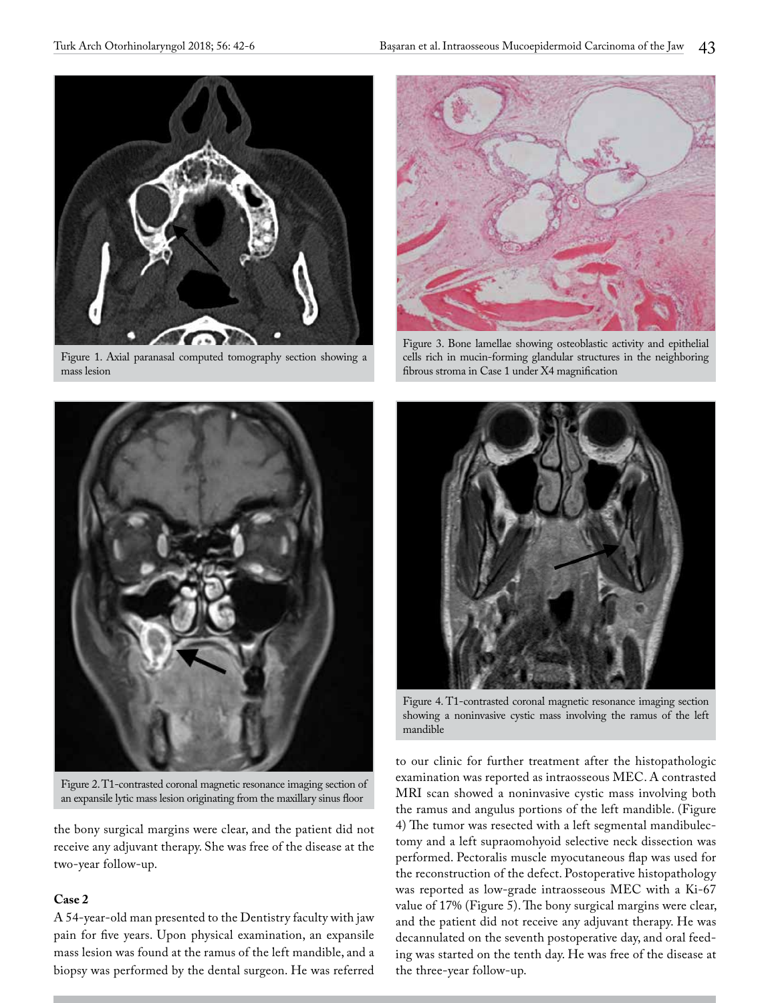

Figure 1. Axial paranasal computed tomography section showing a mass lesion



Figure 2. T1-contrasted coronal magnetic resonance imaging section of an expansile lytic mass lesion originating from the maxillary sinus floor

the bony surgical margins were clear, and the patient did not receive any adjuvant therapy. She was free of the disease at the two-year follow-up.

#### **Case 2**

A 54-year-old man presented to the Dentistry faculty with jaw pain for five years. Upon physical examination, an expansile mass lesion was found at the ramus of the left mandible, and a biopsy was performed by the dental surgeon. He was referred



Figure 3. Bone lamellae showing osteoblastic activity and epithelial cells rich in mucin-forming glandular structures in the neighboring fibrous stroma in Case 1 under X4 magnification



Figure 4. T1-contrasted coronal magnetic resonance imaging section showing a noninvasive cystic mass involving the ramus of the left mandible

to our clinic for further treatment after the histopathologic examination was reported as intraosseous MEC. A contrasted MRI scan showed a noninvasive cystic mass involving both the ramus and angulus portions of the left mandible. (Figure 4) The tumor was resected with a left segmental mandibulectomy and a left supraomohyoid selective neck dissection was performed. Pectoralis muscle myocutaneous flap was used for the reconstruction of the defect. Postoperative histopathology was reported as low-grade intraosseous MEC with a Ki-67 value of 17% (Figure 5). The bony surgical margins were clear, and the patient did not receive any adjuvant therapy. He was decannulated on the seventh postoperative day, and oral feeding was started on the tenth day. He was free of the disease at the three-year follow-up.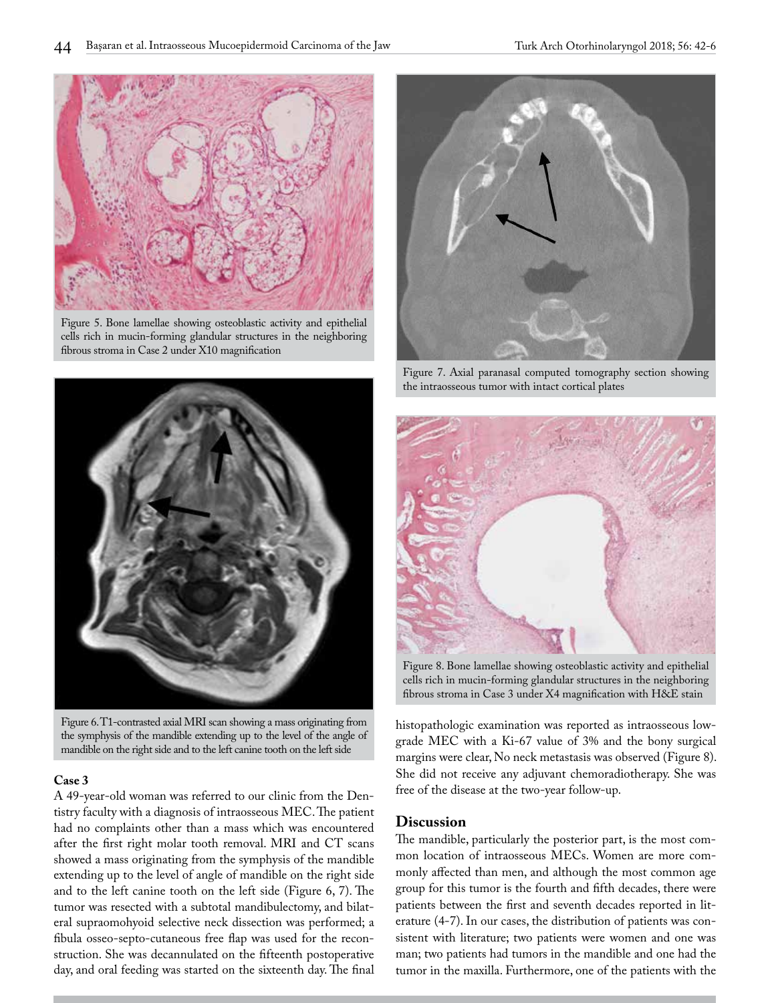

Figure 5. Bone lamellae showing osteoblastic activity and epithelial cells rich in mucin-forming glandular structures in the neighboring fibrous stroma in Case 2 under X10 magnification



Figure 6. T1-contrasted axial MRI scan showing a mass originating from the symphysis of the mandible extending up to the level of the angle of mandible on the right side and to the left canine tooth on the left side

#### **Case 3**

A 49-year-old woman was referred to our clinic from the Dentistry faculty with a diagnosis of intraosseous MEC. The patient had no complaints other than a mass which was encountered after the first right molar tooth removal. MRI and CT scans showed a mass originating from the symphysis of the mandible extending up to the level of angle of mandible on the right side and to the left canine tooth on the left side (Figure 6, 7). The tumor was resected with a subtotal mandibulectomy, and bilateral supraomohyoid selective neck dissection was performed; a fibula osseo-septo-cutaneous free flap was used for the reconstruction. She was decannulated on the fifteenth postoperative day, and oral feeding was started on the sixteenth day. The final



Figure 7. Axial paranasal computed tomography section showing the intraosseous tumor with intact cortical plates



Figure 8. Bone lamellae showing osteoblastic activity and epithelial cells rich in mucin-forming glandular structures in the neighboring fibrous stroma in Case 3 under X4 magnification with H&E stain

histopathologic examination was reported as intraosseous lowgrade MEC with a Ki-67 value of 3% and the bony surgical margins were clear, No neck metastasis was observed (Figure 8). She did not receive any adjuvant chemoradiotherapy. She was free of the disease at the two-year follow-up.

### **Discussion**

The mandible, particularly the posterior part, is the most common location of intraosseous MECs. Women are more commonly affected than men, and although the most common age group for this tumor is the fourth and fifth decades, there were patients between the first and seventh decades reported in literature (4-7). In our cases, the distribution of patients was consistent with literature; two patients were women and one was man; two patients had tumors in the mandible and one had the tumor in the maxilla. Furthermore, one of the patients with the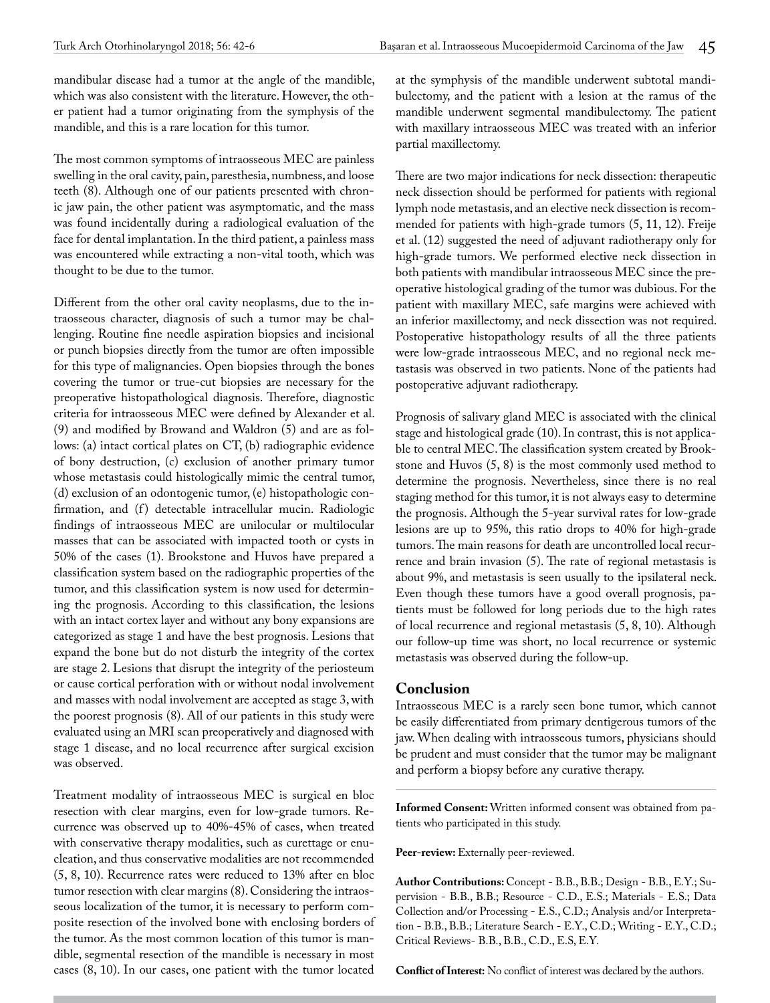mandibular disease had a tumor at the angle of the mandible, which was also consistent with the literature. However, the other patient had a tumor originating from the symphysis of the mandible, and this is a rare location for this tumor.

The most common symptoms of intraosseous MEC are painless swelling in the oral cavity, pain, paresthesia, numbness, and loose teeth (8). Although one of our patients presented with chronic jaw pain, the other patient was asymptomatic, and the mass was found incidentally during a radiological evaluation of the face for dental implantation. In the third patient, a painless mass was encountered while extracting a non-vital tooth, which was thought to be due to the tumor.

Different from the other oral cavity neoplasms, due to the intraosseous character, diagnosis of such a tumor may be challenging. Routine fine needle aspiration biopsies and incisional or punch biopsies directly from the tumor are often impossible for this type of malignancies. Open biopsies through the bones covering the tumor or true-cut biopsies are necessary for the preoperative histopathological diagnosis. Therefore, diagnostic criteria for intraosseous MEC were defined by Alexander et al. (9) and modified by Browand and Waldron (5) and are as follows: (a) intact cortical plates on CT, (b) radiographic evidence of bony destruction, (c) exclusion of another primary tumor whose metastasis could histologically mimic the central tumor, (d) exclusion of an odontogenic tumor, (e) histopathologic confirmation, and (f) detectable intracellular mucin. Radiologic findings of intraosseous MEC are unilocular or multilocular masses that can be associated with impacted tooth or cysts in 50% of the cases (1). Brookstone and Huvos have prepared a classification system based on the radiographic properties of the tumor, and this classification system is now used for determining the prognosis. According to this classification, the lesions with an intact cortex layer and without any bony expansions are categorized as stage 1 and have the best prognosis. Lesions that expand the bone but do not disturb the integrity of the cortex are stage 2. Lesions that disrupt the integrity of the periosteum or cause cortical perforation with or without nodal involvement and masses with nodal involvement are accepted as stage 3, with the poorest prognosis (8). All of our patients in this study were evaluated using an MRI scan preoperatively and diagnosed with stage 1 disease, and no local recurrence after surgical excision was observed.

Treatment modality of intraosseous MEC is surgical en bloc resection with clear margins, even for low-grade tumors. Recurrence was observed up to 40%-45% of cases, when treated with conservative therapy modalities, such as curettage or enucleation, and thus conservative modalities are not recommended (5, 8, 10). Recurrence rates were reduced to 13% after en bloc tumor resection with clear margins (8). Considering the intraosseous localization of the tumor, it is necessary to perform composite resection of the involved bone with enclosing borders of the tumor. As the most common location of this tumor is mandible, segmental resection of the mandible is necessary in most cases (8, 10). In our cases, one patient with the tumor located

at the symphysis of the mandible underwent subtotal mandibulectomy, and the patient with a lesion at the ramus of the mandible underwent segmental mandibulectomy. The patient with maxillary intraosseous MEC was treated with an inferior partial maxillectomy.

There are two major indications for neck dissection: therapeutic neck dissection should be performed for patients with regional lymph node metastasis, and an elective neck dissection is recommended for patients with high-grade tumors (5, 11, 12). Freije et al. (12) suggested the need of adjuvant radiotherapy only for high-grade tumors. We performed elective neck dissection in both patients with mandibular intraosseous MEC since the preoperative histological grading of the tumor was dubious. For the patient with maxillary MEC, safe margins were achieved with an inferior maxillectomy, and neck dissection was not required. Postoperative histopathology results of all the three patients were low-grade intraosseous MEC, and no regional neck metastasis was observed in two patients. None of the patients had postoperative adjuvant radiotherapy.

Prognosis of salivary gland MEC is associated with the clinical stage and histological grade (10). In contrast, this is not applicable to central MEC. The classification system created by Brookstone and Huvos (5, 8) is the most commonly used method to determine the prognosis. Nevertheless, since there is no real staging method for this tumor, it is not always easy to determine the prognosis. Although the 5-year survival rates for low-grade lesions are up to 95%, this ratio drops to 40% for high-grade tumors. The main reasons for death are uncontrolled local recurrence and brain invasion (5). The rate of regional metastasis is about 9%, and metastasis is seen usually to the ipsilateral neck. Even though these tumors have a good overall prognosis, patients must be followed for long periods due to the high rates of local recurrence and regional metastasis (5, 8, 10). Although our follow-up time was short, no local recurrence or systemic metastasis was observed during the follow-up.

## **Conclusion**

Intraosseous MEC is a rarely seen bone tumor, which cannot be easily differentiated from primary dentigerous tumors of the jaw. When dealing with intraosseous tumors, physicians should be prudent and must consider that the tumor may be malignant and perform a biopsy before any curative therapy.

**Informed Consent:** Written informed consent was obtained from patients who participated in this study.

Peer-review: Externally peer-reviewed.

**Author Contributions:** Concept - B.B., B.B.; Design - B.B., E.Y.; Supervision - B.B., B.B.; Resource - C.D., E.S.; Materials - E.S.; Data Collection and/or Processing - E.S., C.D.; Analysis and/or Interpretation - B.B., B.B.; Literature Search - E.Y., C.D.; Writing - E.Y., C.D.; Critical Reviews- B.B., B.B., C.D., E.S, E.Y.

**Conflict of Interest:** No conflict of interest was declared by the authors.